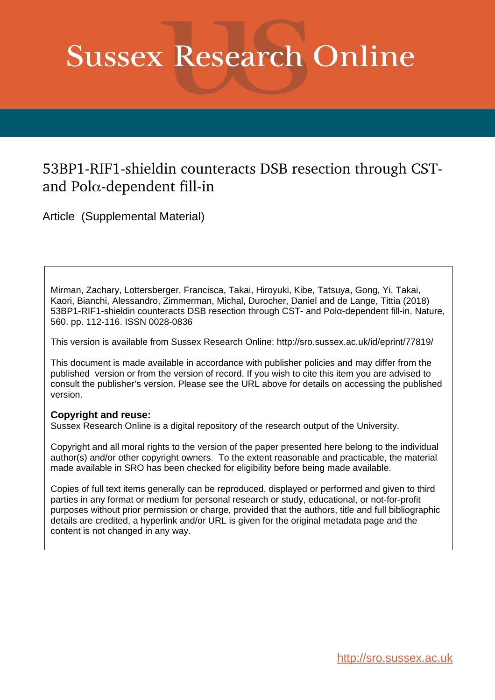# **Sussex Research Online**

## 53BP1-RIF1-shieldin counteracts DSB resection through CSTand Pol $\alpha$ -dependent fill-in

Article (Supplemental Material)

Mirman, Zachary, Lottersberger, Francisca, Takai, Hiroyuki, Kibe, Tatsuya, Gong, Yi, Takai, Kaori, Bianchi, Alessandro, Zimmerman, Michal, Durocher, Daniel and de Lange, Tittia (2018) 53BP1-RIF1-shieldin counteracts DSB resection through CST- and Polα-dependent fill-in. Nature, 560. pp. 112-116. ISSN 0028-0836

This version is available from Sussex Research Online: http://sro.sussex.ac.uk/id/eprint/77819/

This document is made available in accordance with publisher policies and may differ from the published version or from the version of record. If you wish to cite this item you are advised to consult the publisher's version. Please see the URL above for details on accessing the published version.

#### **Copyright and reuse:**

Sussex Research Online is a digital repository of the research output of the University.

Copyright and all moral rights to the version of the paper presented here belong to the individual author(s) and/or other copyright owners. To the extent reasonable and practicable, the material made available in SRO has been checked for eligibility before being made available.

Copies of full text items generally can be reproduced, displayed or performed and given to third parties in any format or medium for personal research or study, educational, or not-for-profit purposes without prior permission or charge, provided that the authors, title and full bibliographic details are credited, a hyperlink and/or URL is given for the original metadata page and the content is not changed in any way.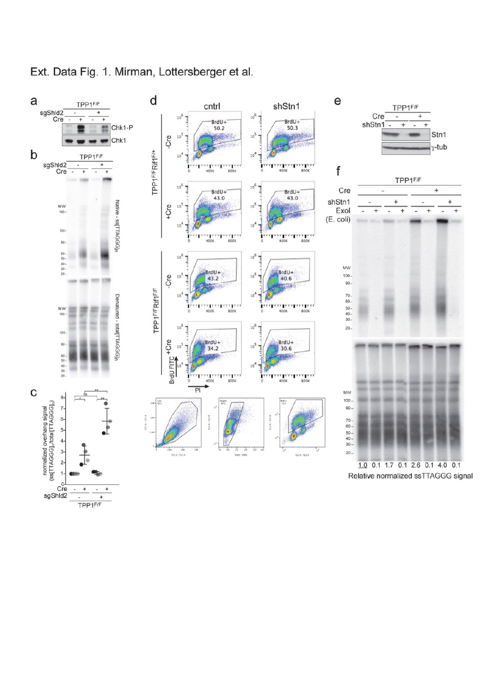

## Ext. Data Fig. 1. Mirman, Lottersberger et al.



 $\overline{1}$ TPP1F/F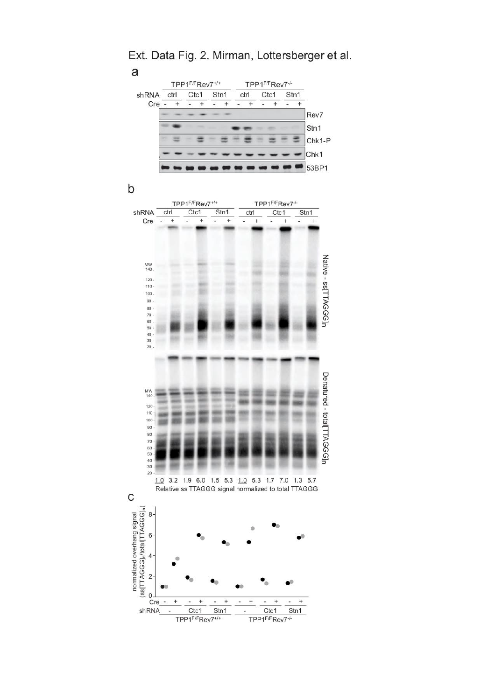

Ext. Data Fig. 2. Mirman, Lottersberger et al.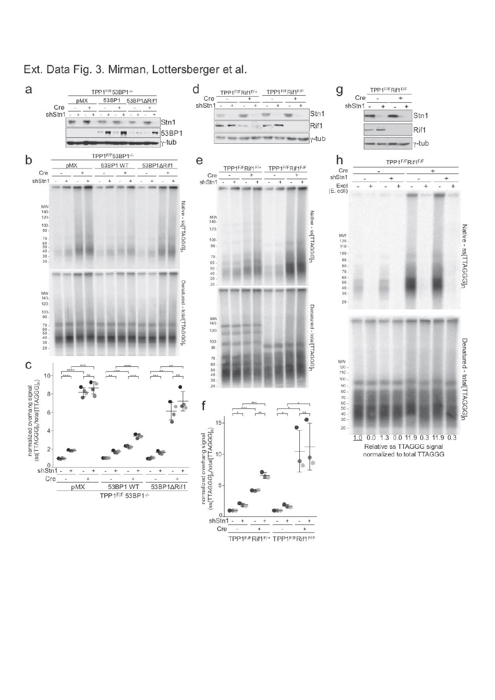

### Ext. Data Fig. 3. Mirman, Lottersberger et al.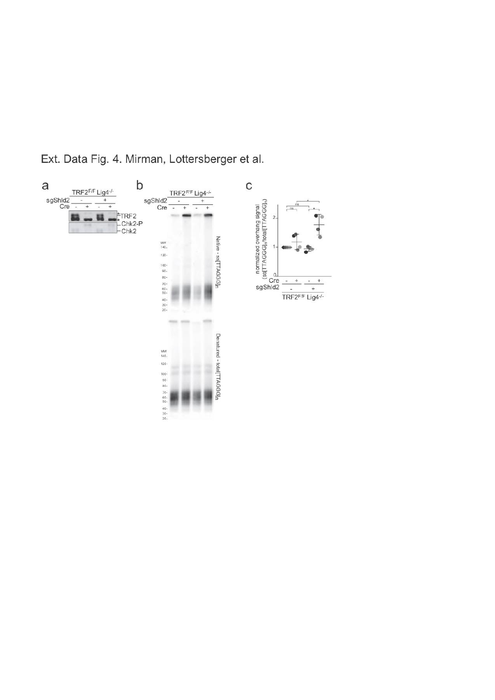

Ext. Data Fig. 4. Mirman, Lottersberger et al.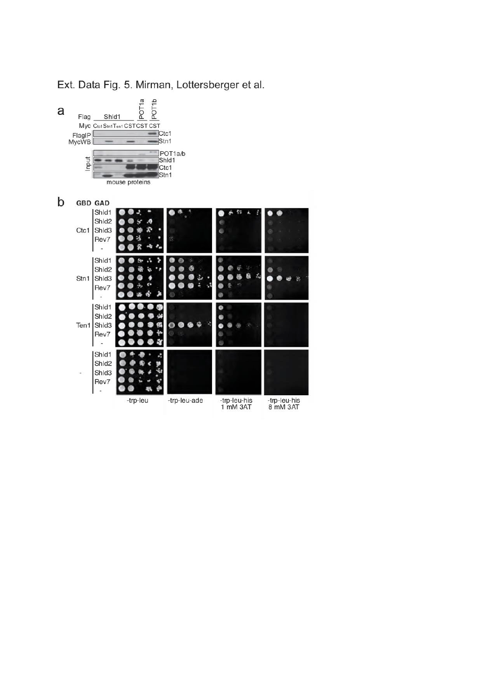

Ext. Data Fig. 5. Mirman, Lottersberger et al.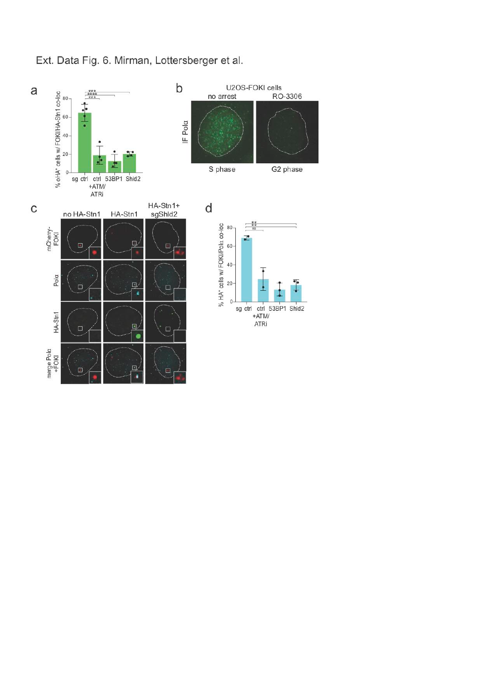

Ext. Data Fig. 6. Mirman, Lottersberger et al.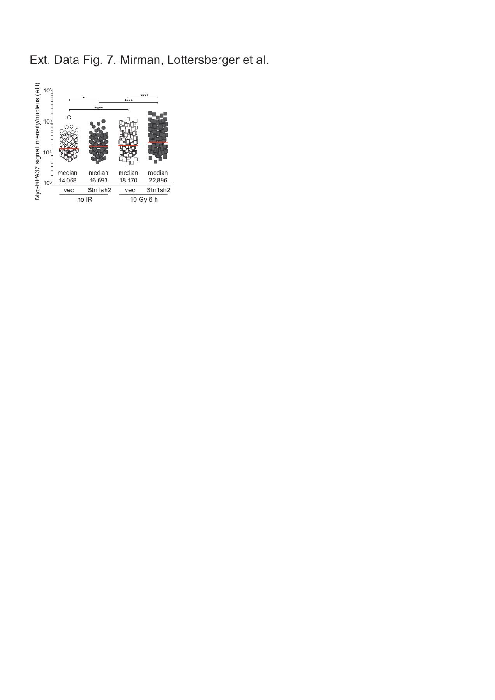Ext. Data Fig. 7. Mirman, Lottersberger et al.